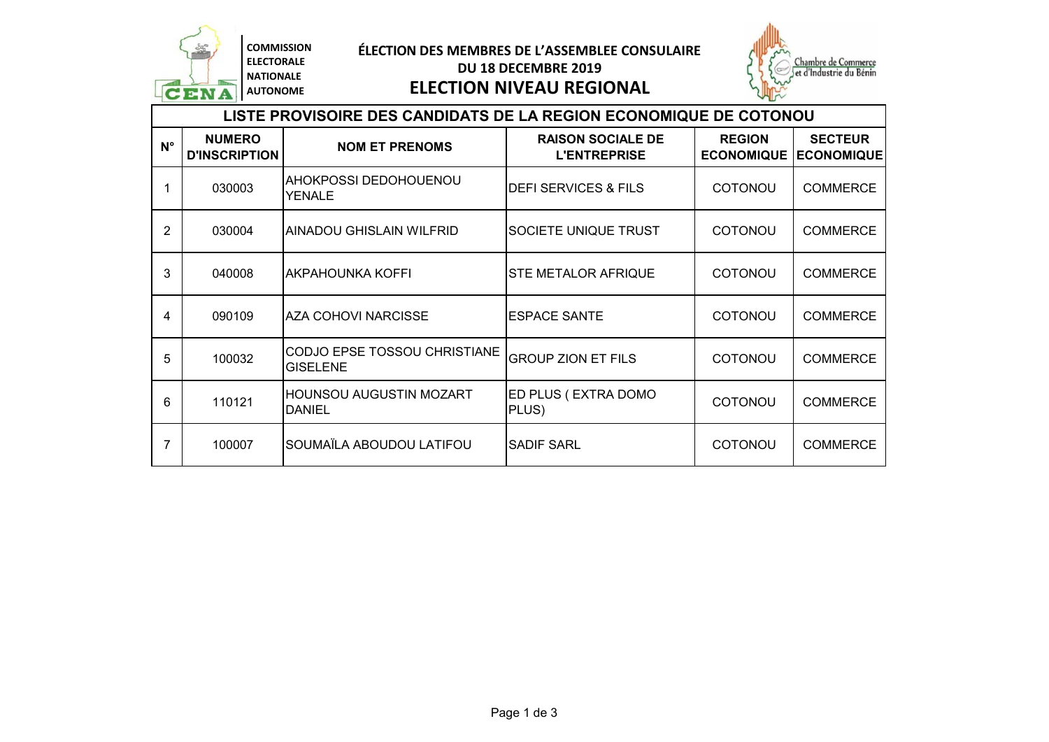

**N°**

### **ÉLECTION DES MEMBRES DE L'ASSEMBLEE CONSULAIRE DU 18 DECEMBRE 2019**

**ELECTION NIVEAU REGIONAL**



# **NUMERO D'INSCRIPTION NOM ET PRENOMS RAISON SOCIALE DE L'ENTREPRISE REGION ECONOMIQUE SECTEUR ECONOMIQUE** 1 030003 AHOKPOSSI DEDOHOUENOU DEFI SERVICES & FILS | COTONOU | COMMERCE 2 030004 AINADOU GHISLAIN WILFRID SOCIETE UNIQUE TRUST I COTONOU COMMERCE 3 040008 AKPAHOUNKA KOFFI STE METALOR AFRIQUE | COTONOU COMMERCE 4 090109 AZA COHOVI NARCISSE ESPACE SANTE I COTONOU COMMERCE 5 100032 CODJO EPSE TOSSOU CHRISTIANE GROUP ZION ET FILS COTONOU COMMERCE 6 110121 HOUNSOU AUGUSTIN MOZART ED PLUS ( EXTRA DOMO | COTONOU | COMMERCE **LISTE PROVISOIRE DES CANDIDATS DE LA REGION ECONOMIQUE DE COTONOU**

7 100007 SOUMAÏLA ABOUDOU LATIFOU SADIF SARL COTONOU COMMERCE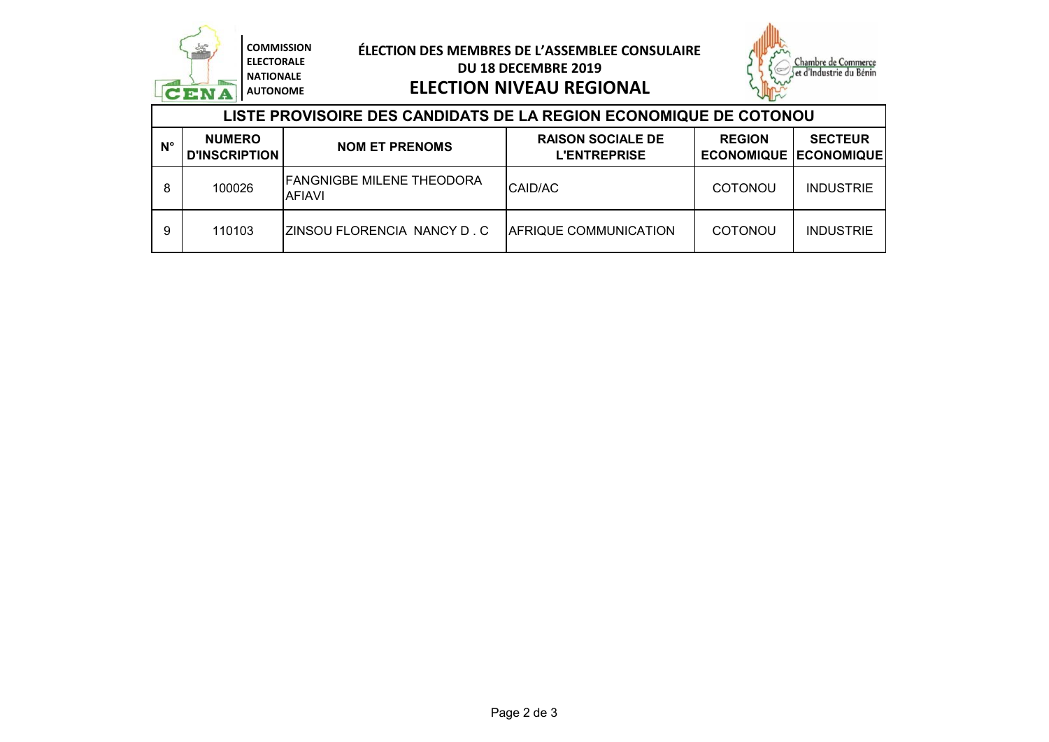

### **ÉLECTION DES MEMBRES DE L'ASSEMBLEE CONSULAIRE DU 18 DECEMBRE 2019**



### **LISTE PROVISOIRE DES CANDIDATS DE LA REGION ECONOMIQUE DE COTONOU ELECTION NIVEAU REGIONAL**

| LIJTE FINOVIJOINE DEJ VANDIDATJ DE EA NEGION EVONOMIQUE DE VOTONOV |                                       |                                                   |                                                 |                                                   |                  |
|--------------------------------------------------------------------|---------------------------------------|---------------------------------------------------|-------------------------------------------------|---------------------------------------------------|------------------|
| $N^{\circ}$                                                        | <b>NUMERO</b><br><b>D'INSCRIPTION</b> | <b>NOM ET PRENOMS</b>                             | <b>RAISON SOCIALE DE</b><br><b>L'ENTREPRISE</b> | <b>REGION</b><br><b>ECONOMIQUE   ECONOMIQUE  </b> | <b>SECTEUR</b>   |
| 8                                                                  | 100026                                | <b>FANGNIGBE MILENE THEODORA</b><br><b>AFIAVI</b> | CAID/AC                                         | <b>COTONOU</b>                                    | <b>INDUSTRIE</b> |
| 9                                                                  | 110103                                | IZINSOU FLORENCIA NANCY D. C                      | <b>AFRIQUE COMMUNICATION</b>                    | <b>COTONOU</b>                                    | <b>INDUSTRIE</b> |